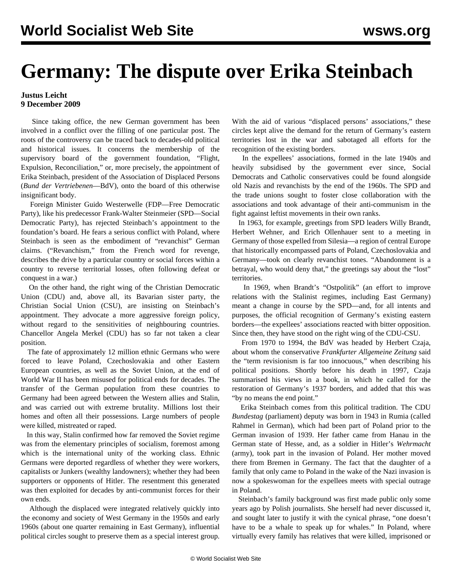## **Germany: The dispute over Erika Steinbach**

## **Justus Leicht 9 December 2009**

 Since taking office, the new German government has been involved in a conflict over the filling of one particular post. The roots of the controversy can be traced back to decades-old political and historical issues. It concerns the membership of the supervisory board of the government foundation, "Flight, Expulsion, Reconciliation," or, more precisely, the appointment of Erika Steinbach, president of the Association of Displaced Persons (*Bund der Vertriebenen*—BdV), onto the board of this otherwise insignificant body.

 Foreign Minister Guido Westerwelle (FDP—Free Democratic Party), like his predecessor Frank-Walter Steinmeier (SPD—Social Democratic Party), has rejected Steinbach's appointment to the foundation's board. He fears a serious conflict with Poland, where Steinbach is seen as the embodiment of "revanchist" German claims. ("Revanchism," from the French word for revenge, describes the drive by a particular country or social forces within a country to reverse territorial losses, often following defeat or conquest in a war.)

 On the other hand, the right wing of the Christian Democratic Union (CDU) and, above all, its Bavarian sister party, the Christian Social Union (CSU), are insisting on Steinbach's appointment. They advocate a more aggressive foreign policy, without regard to the sensitivities of neighbouring countries. Chancellor Angela Merkel (CDU) has so far not taken a clear position.

 The fate of approximately 12 million ethnic Germans who were forced to leave Poland, Czechoslovakia and other Eastern European countries, as well as the Soviet Union, at the end of World War II has been misused for political ends for decades. The transfer of the German population from these countries to Germany had been agreed between the Western allies and Stalin, and was carried out with extreme brutality. Millions lost their homes and often all their possessions. Large numbers of people were killed, mistreated or raped.

 In this way, Stalin confirmed how far removed the Soviet regime was from the elementary principles of socialism, foremost among which is the international unity of the working class. Ethnic Germans were deported regardless of whether they were workers, capitalists or Junkers (wealthy landowners); whether they had been supporters or opponents of Hitler. The resentment this generated was then exploited for decades by anti-communist forces for their own ends.

 Although the displaced were integrated relatively quickly into the economy and society of West Germany in the 1950s and early 1960s (about one quarter remaining in East Germany), influential political circles sought to preserve them as a special interest group.

With the aid of various "displaced persons' associations," these circles kept alive the demand for the return of Germany's eastern territories lost in the war and sabotaged all efforts for the recognition of the existing borders.

 In the expellees' associations, formed in the late 1940s and heavily subsidised by the government ever since, Social Democrats and Catholic conservatives could be found alongside old Nazis and revanchists by the end of the 1960s. The SPD and the trade unions sought to foster close collaboration with the associations and took advantage of their anti-communism in the fight against leftist movements in their own ranks.

 In 1963, for example, greetings from SPD leaders Willy Brandt, Herbert Wehner, and Erich Ollenhauer sent to a meeting in Germany of those expelled from Silesia—a region of central Europe that historically encompassed parts of Poland, Czechoslovakia and Germany—took on clearly revanchist tones. "Abandonment is a betrayal, who would deny that," the greetings say about the "lost" territories.

 In 1969, when Brandt's "Ostpolitik" (an effort to improve relations with the Stalinist regimes, including East Germany) meant a change in course by the SPD—and, for all intents and purposes, the official recognition of Germany's existing eastern borders—the expellees' associations reacted with bitter opposition. Since then, they have stood on the right wing of the CDU-CSU.

 From 1970 to 1994, the BdV was headed by Herbert Czaja, about whom the conservative *Frankfurter Allgemeine Zeitung* said the "term revisionism is far too innocuous," when describing his political positions. Shortly before his death in 1997, Czaja summarised his views in a book, in which he called for the restoration of Germany's 1937 borders, and added that this was "by no means the end point."

 Erika Steinbach comes from this political tradition. The CDU *Bundestag* (parliament) deputy was born in 1943 in Rumia (called Rahmel in German), which had been part of Poland prior to the German invasion of 1939. Her father came from Hanau in the German state of Hesse, and, as a soldier in Hitler's *Wehrmacht* (army), took part in the invasion of Poland. Her mother moved there from Bremen in Germany. The fact that the daughter of a family that only came to Poland in the wake of the Nazi invasion is now a spokeswoman for the expellees meets with special outrage in Poland.

 Steinbach's family background was first made public only some years ago by Polish journalists. She herself had never discussed it, and sought later to justify it with the cynical phrase, "one doesn't have to be a whale to speak up for whales." In Poland, where virtually every family has relatives that were killed, imprisoned or